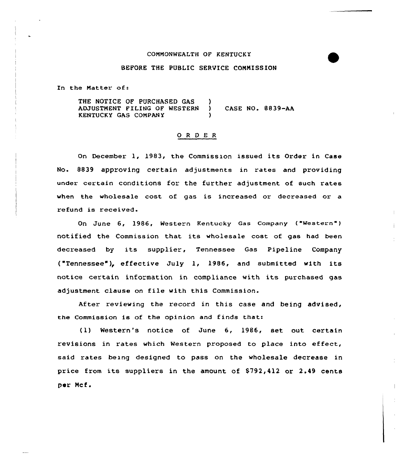#### COMMONWEALTH OF KENTUCKY

# BEFORE THE PUBLIC SERUICE COMMISSION

In the Matter of:

THE NOTICE OF PURCHASED GAS )<br>ADJUSTMENT FILING OF WESTERN ) ADJUSTMENT FILING OF WESTERN ) CASE No. 8839-AA KENTUCKY GAS COMPANY )

### 0 <sup>R</sup> <sup>D</sup> E R

On December 1, 1983, the Commission issued its Order in Case No. 8839 approving certain adjustments in rates and providing under certain conditions for the further adjustment of such rates when the wholesale cost of gas is increased or decreased or a refund is received.

On June 6, 1986, Western Kentucky Gas Company ("Western" ) notified the Commission that its wholesale cost of gas had been decreased by its supplier, Tennessee Gas Pipeline Company ("Tennessee"), effective July 1, 1986, and submitted with its notice certain information in compliance with its purchased gas adjustment clause on file with this Commission.

After reviewing the record in this case and being advised, the Commission is of the opinion and finds that:

<1) Western's notice of June 6, 1986, set out certain revisions in rates which Western proposed to place into effect, said rates being designed to pass on the wholesale decrease in price from its suppliers in the amount of \$792,412 or 2.49 cents per Ncf.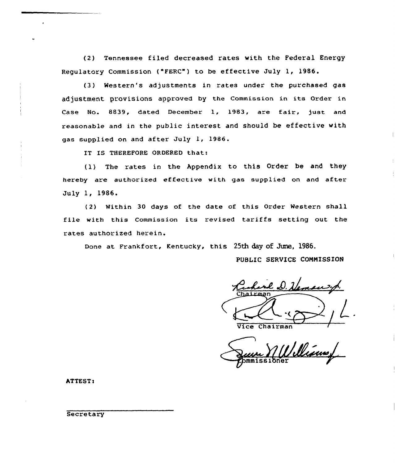(2) Tennessee filed decreased rates with the Federal Energy Regulatory Commission ("FERC") to be effective July 1, 1986.

(3) Western's adjustments in rates under the purchased gas adjustment provisions approved by the Commission in its Order in Case No. 8839, dated December 1, 1983, are fair, just and reasonable and in the public interest and should be effective with gas supplied on and after July 1, 1986.

IT IS THEREFORE ORDERED that:

(1) The rates in the Appendix to this Order be and they hereby are authorized effective with gas supplied on and after July 1, 1986.

(2) Within 30 days of the date of this Order Western shall file with this Commission its revised tariffs setting out the rates authorized herein.

Done at Frankfort, Kentucky, this 25th day of June, 1986.

PUBLIC SERVICE COMMISSION

Vice Chairman

Vinn,

ATTEST)

**Secretary**